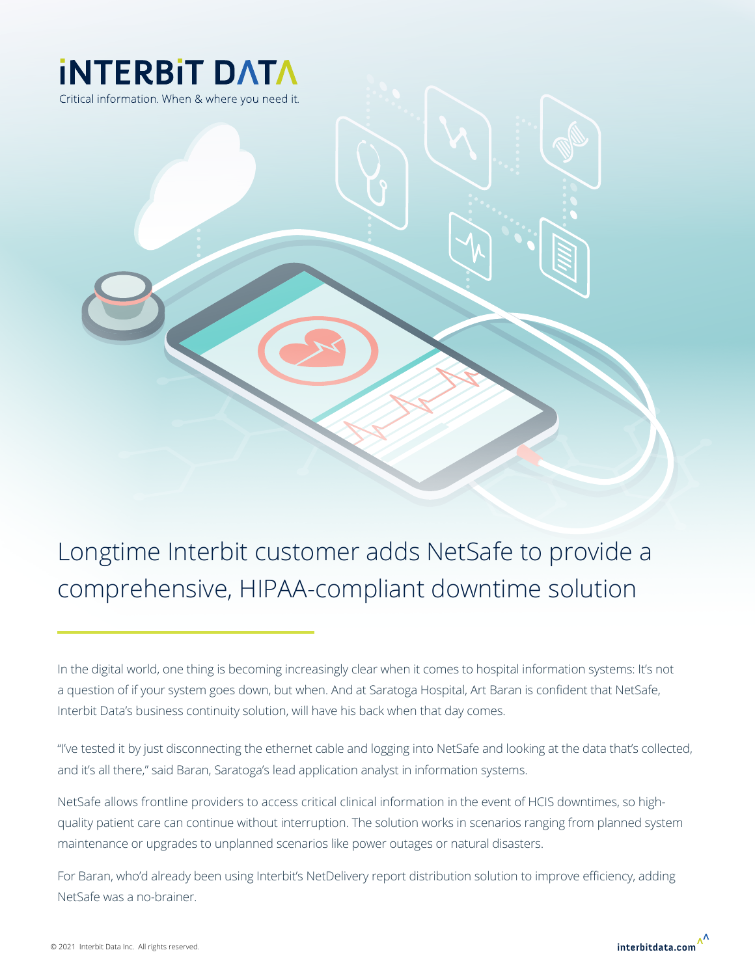

Longtime Interbit customer adds NetSafe to provide a comprehensive, HIPAA-compliant downtime solution

In the digital world, one thing is becoming increasingly clear when it comes to hospital information systems: It's not a question of if your system goes down, but when. And at Saratoga Hospital, Art Baran is confident that NetSafe, Interbit Data's business continuity solution, will have his back when that day comes.

"I've tested it by just disconnecting the ethernet cable and logging into NetSafe and looking at the data that's collected, and it's all there," said Baran, Saratoga's lead application analyst in information systems.

NetSafe allows frontline providers to access critical clinical information in the event of HCIS downtimes, so highquality patient care can continue without interruption. The solution works in scenarios ranging from planned system maintenance or upgrades to unplanned scenarios like power outages or natural disasters.

For Baran, who'd already been using Interbit's NetDelivery report distribution solution to improve efficiency, adding NetSafe was a no-brainer.

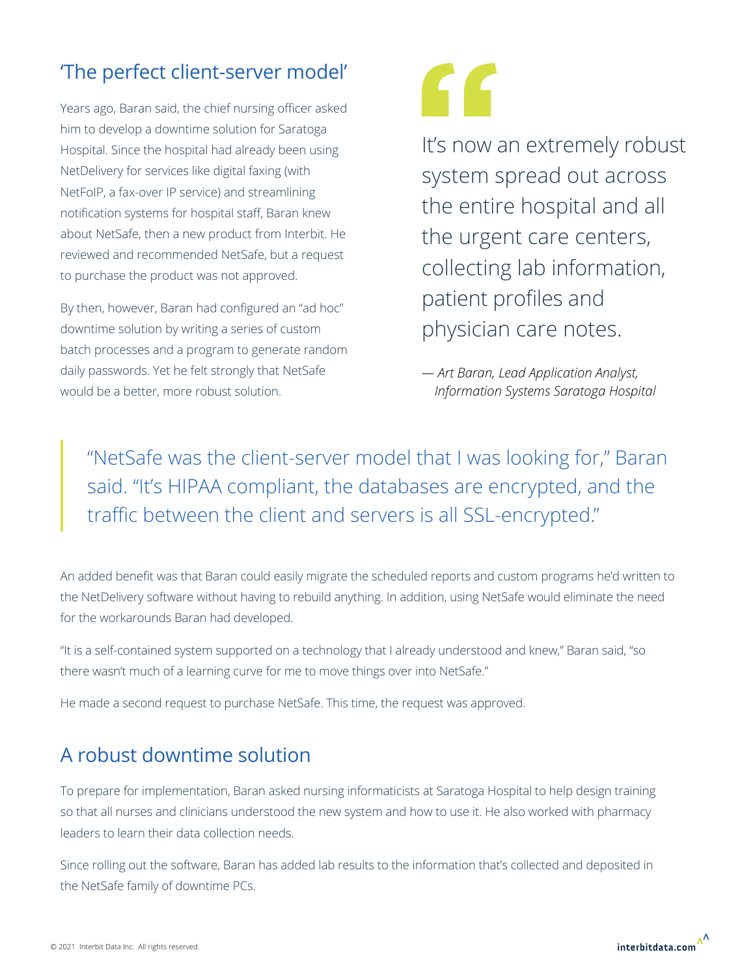## 'The perfect client-server model'

Years ago, Baran said, the chief nursing officer asked him to develop a downtime solution for Saratoga Hospital. Since the hospital had already been using NetDelivery for services like digital faxing (with NetFoIP, a fax-over IP service) and streamlining notification systems for hospital staff, Baran knew about NetSafe, then a new product from Interbit. He reviewed and recommended NetSafe, but a request to purchase the product was not approved.

By then, however, Baran had configured an "ad hoc" downtime solution by writing a series of custom batch processes and a program to generate random daily passwords. Yet he felt strongly that NetSafe would be a better, more robust solution.

# "

It's now an extremely robust system spread out across the entire hospital and all the urgent care centers, collecting lab information, patient profiles and physician care notes.

*— Art Baran, Lead Application Analyst, Information Systems Saratoga Hospital*

"NetSafe was the client-server model that I was looking for," Baran said. "It's HIPAA compliant, the databases are encrypted, and the traffic between the client and servers is all SSL-encrypted."

An added benefit was that Baran could easily migrate the scheduled reports and custom programs he'd written to the NetDelivery software without having to rebuild anything. In addition, using NetSafe would eliminate the need for the workarounds Baran had developed.

"It is a self-contained system supported on a technology that I already understood and knew," Baran said, "so there wasn't much of a learning curve for me to move things over into NetSafe."

He made a second request to purchase NetSafe. This time, the request was approved.

### A robust downtime solution

To prepare for implementation, Baran asked nursing informaticists at Saratoga Hospital to help design training so that all nurses and clinicians understood the new system and how to use it. He also worked with pharmacy leaders to learn their data collection needs.

Since rolling out the software, Baran has added lab results to the information that's collected and deposited in the NetSafe family of downtime PCs.